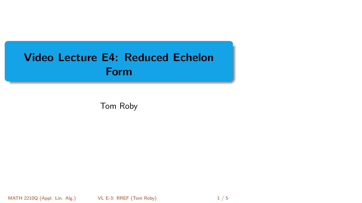# <span id="page-0-0"></span>Video Lecture E4: Reduced Echelon Form

Tom Roby

MATH 2210Q (Appl. Lin. Alg.) [VL E-3: RREF](#page-4-0) (Tom Roby) 1 / 5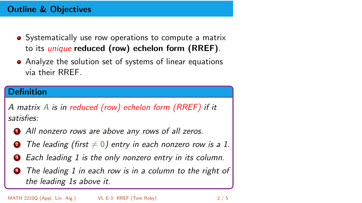## Outline & Objectives

- Systematically use row operations to compute a matrix to its unique reduced (row) echelon form (RREF).
- Analyze the solution set of systems of linear equations via their RREF.

#### **Definition**

A matrix A is in reduced (row) echelon form (RREF) if it satisfies:

- **1** All nonzero rows are above any rows of all zeros.
- **2** The leading (first  $\neq 0$ ) entry in each nonzero row is a 1.
- Each leading 1 is the only nonzero entry in its column.
- The leading 1 in each row is in a column to the right of the leading 1s above it.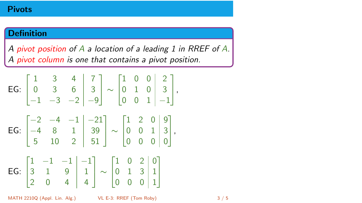## **Definition**

A pivot position of A a location of a leading 1 in RREF of A. A pivot column is one that contains a pivot position.

EG: 1 3 4 7 0 3 6 3 −1 −3 −2 −9 ∼ 1 0 0 2 0 1 0 3 0 0 1 −1 , EG: −2 −4 −1 −21 −4 8 1 39 5 10 2 51 ∼ 1 2 0 9 0 0 1 3 0 0 0 0 , EG: 1 −1 −1 −1 3 1 9 1 2 0 4 4 ∼ 1 0 2 0 0 1 3 1 0 0 0 1 

MATH 2210Q (Appl. Lin. Alg.) [VL E-3: RREF](#page-0-0) (Tom Roby) 3 / 5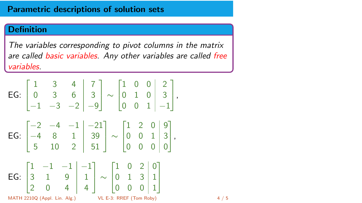#### Parametric descriptions of solution sets

#### Definition

The variables corresponding to pivot columns in the matrix are called basic variables. Any other variables are called free variables.

$$
\begin{array}{c|c|c|c|c|c|c|c} \text{EG:} & \begin{bmatrix} 1 & 3 & 4 & 7 \\ 0 & 3 & 6 & 3 \\ -1 & -3 & -2 & -9 \end{bmatrix} & \sim \begin{bmatrix} 1 & 0 & 0 & 2 \\ 0 & 1 & 0 & 3 \\ 0 & 0 & 1 & -1 \end{bmatrix}, \\ \text{EG:} & \begin{bmatrix} -2 & -4 & -1 & -21 \\ -4 & 8 & 1 & 39 \\ 5 & 10 & 2 & 51 \end{bmatrix} & \sim \begin{bmatrix} 1 & 2 & 0 & 9 \\ 0 & 0 & 1 & 3 \\ 0 & 0 & 0 & 0 \end{bmatrix}, \\ \text{EG:} & \begin{bmatrix} 1 & -1 & -1 & -1 \\ 3 & 1 & 9 & 1 \\ 2 & 0 & 4 & 4 \end{bmatrix} & \sim \begin{bmatrix} 1 & 0 & 2 & 0 \\ 0 & 1 & 3 & 1 \\ 0 & 0 & 0 & 1 \end{bmatrix}, \\ \text{MATH 2210Q (Appl. Lin. Alg.)} & \text{VL E-3: RREF (Tom Roby)} & \end{array}
$$